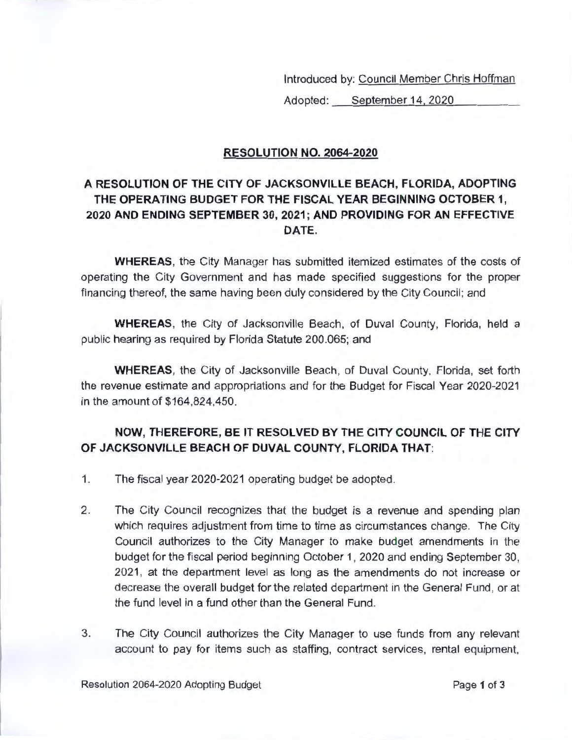Introduced by: Council Member Chris Hoffman

Adopted: <u>September 14, 2020</u>

## **RESOLUTION NO. 2064-2020**

## **A RESOLUTION OF THE CITY OF JACKSONVILLE BEACH, FLORIDA, ADOPTING THE OPERATING BUDGET FOR THE FISCAL YEAR BEGINNING OCTOBER 1, 2020 AND ENDING SEPTEMBER 30, 2021 ; AND PROVIDING FOR AN EFFECTIVE DATE.**

**WHEREAS,** the City Manager has submitted itemized estimates of the costs of operating the City Government and has made specified suggestions for the proper financing thereof, the same having been duly considered by the City Council; and

**WHEREAS,** the City of Jacksonville Beach, of Duval County, Florida, held a public hearing as required by Florida Statute 200.065; and

**WHEREAS,** the City of Jacksonville Beach, of Duval County, Florida, set forth the revenue estimate and appropriations and for the Budget for Fiscal Year 2020-2021 in the amount of \$164,824,450.

## **NOW, THEREFORE, BE IT RESOLVED BY THE CITY COUNCIL OF THE CITY OF JACKSONVILLE BEACH OF DUVAL COUNTY, FLORIDA THAT:**

- 1. The fiscal year 2020-2021 operating budget be adopted.
- 2. The City Council recognizes that the budget is a revenue and spending plan which requires adjustment from time to time as circumstances change. The City Council authorizes to the City Manager to make budget amendments in the budget for the fiscal period beginning October 1, 2020 and ending September 30, 2021 , at the department level as long as the amendments do not increase or decrease the overall budget for the related department in the General Fund, or at the fund level in a fund other than the General Fund.
- 3. The City Council authorizes the City Manager to use funds from any relevant account to pay for items such as staffing, contract services, rental equipment,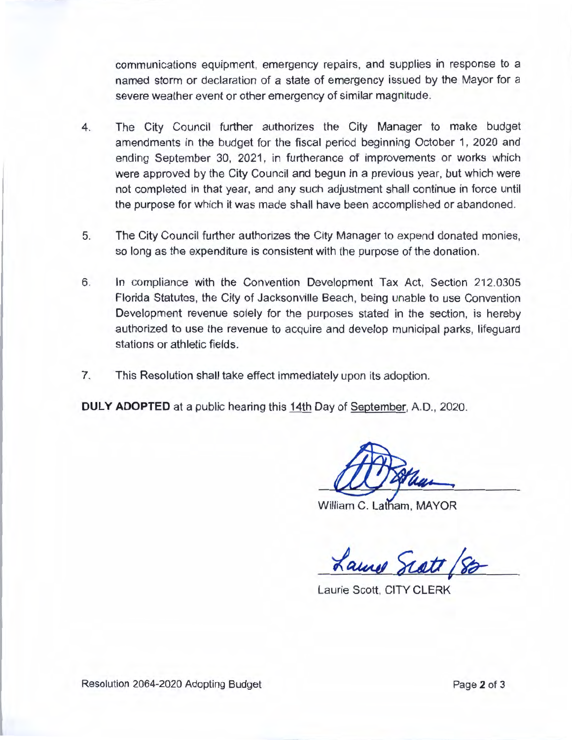communications equipment, emergency repairs, and supplies in response to a named storm or declaration of a state of emergency issued by the Mayor for a severe weather event or other emergency of similar magnitude.

- 4. The City Council further authorizes the City Manager to make budget amendments in the budget for the fiscal period beginning October 1, 2020 and ending September 30, 2021, in furtherance of improvements or works which were approved by the City Council and begun in a previous year, but which were not completed in that year, and any such adjustment shall continue in force until the purpose for which it was made shall have been accomplished or abandoned.
- 5. The City Council further authorizes the City Manager to expend donated monies, so long as the expenditure is consistent with the purpose of the donation.
- 6. In compliance with the Convention Development Tax Act, Section 212.0305 Florida Statutes, the City of Jacksonville Beach, being unable to use Convention Development revenue solely for the purposes stated in the section, is hereby authorized to use the revenue to acquire and develop municipal parks, lifeguard stations or athletic fields.
- 7. This Resolution shall take effect immediately upon its adoption.

**DULY ADOPTED** at a public hearing this 14th Day of September, A.O., 2020.

William C. Latham, MAYOR

Laure Scott /88

Laurie Scott, CITY CLERK